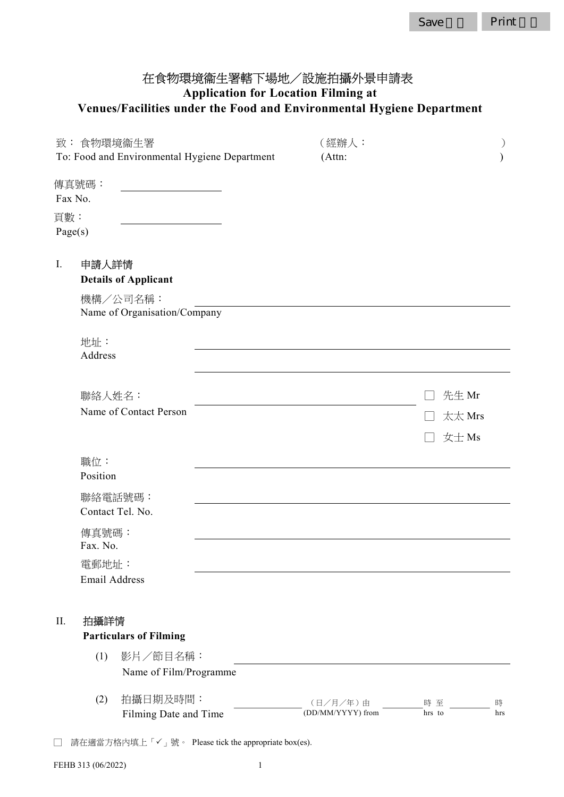# 在食物環境衞生署轄下場地/設施拍攝外景申請表 Application for Location Filming at Venues/Facilities under the Food and Environmental Hygiene Department

|                                               | 致:食物環境衞生署            |                                          |  | (經辦人:                         |              |          |
|-----------------------------------------------|----------------------|------------------------------------------|--|-------------------------------|--------------|----------|
| To: Food and Environmental Hygiene Department |                      | (Attn:                                   |  |                               |              |          |
|                                               | 傳真號碼:                |                                          |  |                               |              |          |
| Fax No.                                       |                      |                                          |  |                               |              |          |
| 頁數:                                           |                      |                                          |  |                               |              |          |
| Page(s)                                       |                      |                                          |  |                               |              |          |
| Ι.                                            | 申請人詳情                |                                          |  |                               |              |          |
|                                               |                      | <b>Details of Applicant</b>              |  |                               |              |          |
|                                               |                      | 機構/公司名稱:<br>Name of Organisation/Company |  |                               |              |          |
|                                               | 地址:<br>Address       |                                          |  |                               |              |          |
|                                               | 聯絡人姓名:               |                                          |  |                               | 先生 Mr        |          |
|                                               |                      | Name of Contact Person                   |  |                               | 太太 Mrs       |          |
|                                               |                      |                                          |  |                               | 女士Ms         |          |
|                                               | 職位:                  |                                          |  |                               |              |          |
|                                               | Position             |                                          |  |                               |              |          |
|                                               |                      | 聯絡電話號碼:<br>Contact Tel. No.              |  |                               |              |          |
|                                               | 傳真號碼:<br>Fax. No.    |                                          |  |                               |              |          |
|                                               | 電郵地址:                |                                          |  |                               |              |          |
|                                               | <b>Email Address</b> |                                          |  |                               |              |          |
| II.                                           | 拍攝詳情                 | <b>Particulars of Filming</b>            |  |                               |              |          |
|                                               | (1)                  | 影片/節目名稱:                                 |  |                               |              |          |
|                                               |                      | Name of Film/Programme                   |  |                               |              |          |
|                                               | (2)                  | 拍攝日期及時間:                                 |  |                               |              |          |
|                                               |                      | Filming Date and Time                    |  | (日/月/年)由<br>(DD/MM/YYYY) from | 時至<br>hrs to | 時<br>hrs |
|                                               |                      |                                          |  |                               |              |          |

□ 請在適當方格內填上「✓」號。 Please tick the appropriate box(es).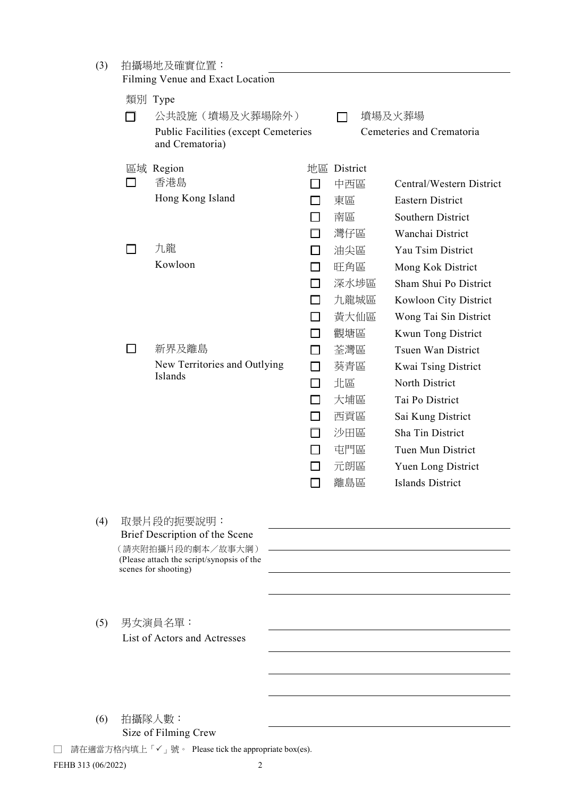| (3) |     | 拍攝場地及確實位置:<br>Filming Venue and Exact Location                    |              |             |                           |
|-----|-----|-------------------------------------------------------------------|--------------|-------------|---------------------------|
|     |     | 類別 Type                                                           |              |             |                           |
|     |     | 公共設施 (墳場及火葬場除外)                                                   |              | ┓           | 墳場及火葬場                    |
|     |     | Public Facilities (except Cemeteries<br>and Crematoria)           |              |             | Cemeteries and Crematoria |
|     |     | 區域 Region                                                         |              | 地區 District |                           |
|     | П   | 香港島                                                               |              | 中西區         | Central/Western District  |
|     |     | Hong Kong Island                                                  |              | 東區          | <b>Eastern District</b>   |
|     |     |                                                                   | ΙI           | 南區          | Southern District         |
|     |     |                                                                   | П            | 灣仔區         | Wanchai District          |
|     |     | 九龍                                                                | П            | 油尖區         | Yau Tsim District         |
|     |     | Kowloon                                                           |              | 旺角區         | Mong Kok District         |
|     |     |                                                                   | <b>Tales</b> | 深水埗區        | Sham Shui Po District     |
|     |     |                                                                   |              | 九龍城區        | Kowloon City District     |
|     |     |                                                                   |              | 黃大仙區        | Wong Tai Sin District     |
|     |     |                                                                   | $\Box$       | 觀塘區         | Kwun Tong District        |
|     | l 1 | 新界及離島                                                             | П            | 荃灣區         | Tsuen Wan District        |
|     |     | New Territories and Outlying                                      | П            | 葵青區         | Kwai Tsing District       |
|     |     | Islands                                                           | $\mathsf{L}$ | 北區          | North District            |
|     |     |                                                                   |              | 大埔區         | Tai Po District           |
|     |     |                                                                   |              | 西貢區         | Sai Kung District         |
|     |     |                                                                   | $\Box$       | 沙田區         | Sha Tin District          |
|     |     |                                                                   |              | 屯門區         | Tuen Mun District         |
|     |     |                                                                   |              | 元朗區         | Yuen Long District        |
|     |     |                                                                   | ┍            | 離島區         | Islands District          |
|     |     |                                                                   |              |             |                           |
| (4) |     | 取景片段的扼要說明:<br>Brief Description of the Scene                      |              |             |                           |
|     |     | (請夾附拍攝片段的劇本/故事大綱)                                                 |              |             |                           |
|     |     | (Please attach the script/synopsis of the<br>scenes for shooting) |              |             |                           |
|     |     |                                                                   |              |             |                           |
|     |     |                                                                   |              |             |                           |
| (5) |     | 男女演員名單:                                                           |              |             |                           |
|     |     | List of Actors and Actresses                                      |              |             |                           |
|     |     |                                                                   |              |             |                           |
|     |     |                                                                   |              |             |                           |
|     |     |                                                                   |              |             |                           |
|     |     |                                                                   |              |             |                           |
| (6) |     | 拍攝隊人數:<br>Size of Filming Crew                                    |              |             |                           |

□ 請在適當方格內填上「✓」號。 Please tick the appropriate box(es).

FEHB 313 (06/2022) 2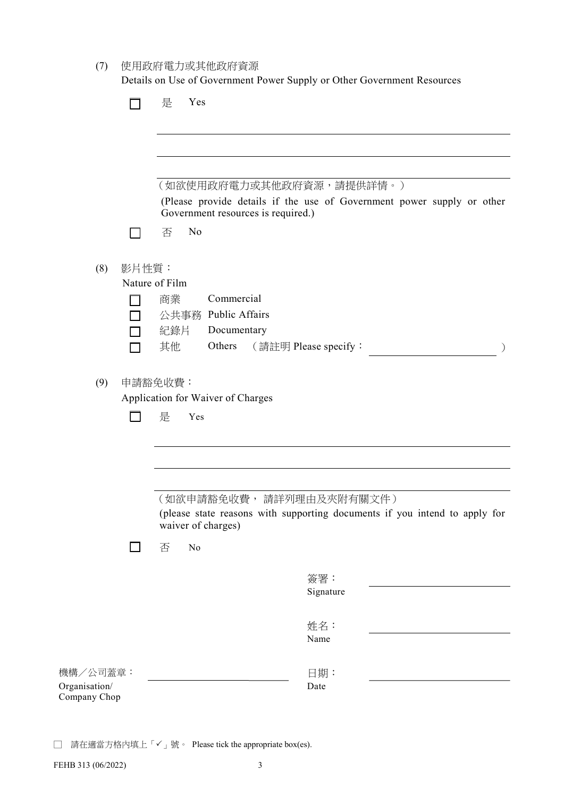| 使用政府電力或其他政府資源<br>(7) |  |  |
|----------------------|--|--|
|----------------------|--|--|

Details on Use of Government Power Supply or Other Government Resources

|                                | Yes<br>是                                                                                                     |
|--------------------------------|--------------------------------------------------------------------------------------------------------------|
|                                |                                                                                                              |
|                                |                                                                                                              |
|                                | (如欲使用政府電力或其他政府資源,請提供詳情。)                                                                                     |
|                                | (Please provide details if the use of Government power supply or other<br>Government resources is required.) |
|                                | N <sub>o</sub><br>否                                                                                          |
| (8)<br>影片性質:<br>Nature of Film |                                                                                                              |
|                                | Commercial<br>商業                                                                                             |
|                                | 公共事務 Public Affairs<br>紀錄片<br>Documentary                                                                    |
|                                | 其他<br>Others<br>(請註明 Please specify:                                                                         |
| (9)                            | 申請豁免收費:                                                                                                      |
|                                | Application for Waiver of Charges                                                                            |
|                                | 是<br>Yes                                                                                                     |
|                                |                                                                                                              |
|                                |                                                                                                              |
|                                | (如欲申請豁免收費,請詳列理由及夾附有關文件)                                                                                      |
|                                | (please state reasons with supporting documents if you intend to apply for<br>waiver of charges)             |
|                                | 否<br>No                                                                                                      |
|                                | 簽署:                                                                                                          |
|                                | Signature                                                                                                    |
|                                | 姓名:                                                                                                          |
|                                | Name                                                                                                         |
| 機構/公司蓋章:                       | 日期:                                                                                                          |
| Organisation/<br>Company Chop  | Date                                                                                                         |

□ 請在適當方格內填上「✓」號。 Please tick the appropriate box(es).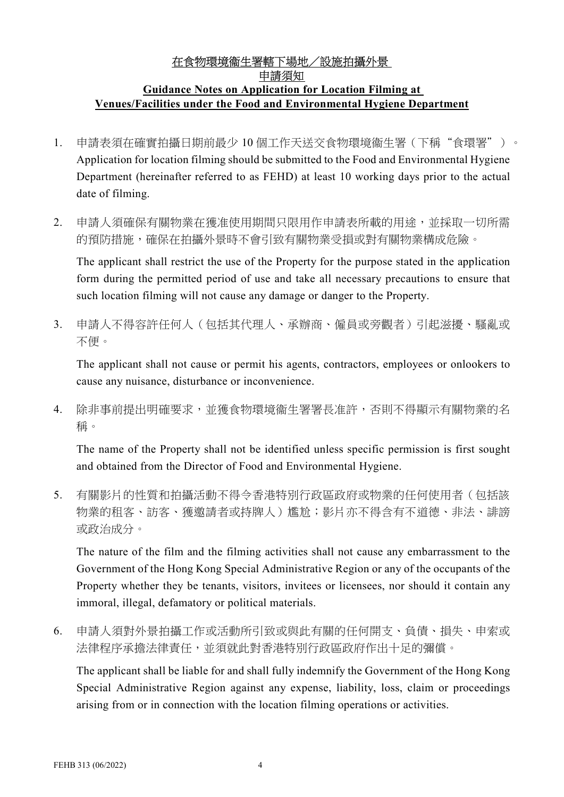## 在食物環境衞生署轄下場地/設施拍攝外景 申請須知 Guidance Notes on Application for Location Filming at Venues/Facilities under the Food and Environmental Hygiene Department

- 1. 申請表須在確實拍攝日期前最少 10 個工作天送交食物環境衞生署(下稱"食環署")。 Application for location filming should be submitted to the Food and Environmental Hygiene Department (hereinafter referred to as FEHD) at least 10 working days prior to the actual date of filming.
- 2. 申請人須確保有關物業在獲准使用期間只限用作申請表所載的用途,並採取一切所需 的預防措施,確保在拍攝外景時不會引致有關物業受損或對有關物業構成危險。

The applicant shall restrict the use of the Property for the purpose stated in the application form during the permitted period of use and take all necessary precautions to ensure that such location filming will not cause any damage or danger to the Property.

3. 申請人不得容許任何人(包括其代理人、承辦商、僱員或旁觀者)引起滋擾、騷亂或 不便。

The applicant shall not cause or permit his agents, contractors, employees or onlookers to cause any nuisance, disturbance or inconvenience.

4. 除非事前提出明確要求,並獲食物環境衞生署署長准許,否則不得顯示有關物業的名 稱。

The name of the Property shall not be identified unless specific permission is first sought and obtained from the Director of Food and Environmental Hygiene.

5. 有關影片的性質和拍攝活動不得令香港特別行政區政府或物業的任何使用者(包括該 物業的租客、訪客、獲邀請者或持牌人)尷尬;影片亦不得含有不道德、非法、誹謗 或政治成分。

The nature of the film and the filming activities shall not cause any embarrassment to the Government of the Hong Kong Special Administrative Region or any of the occupants of the Property whether they be tenants, visitors, invitees or licensees, nor should it contain any immoral, illegal, defamatory or political materials.

6. 申請人須對外景拍攝工作或活動所引致或與此有關的任何開支、負債、損失、申索或 法律程序承擔法律責任,並須就此對香港特別行政區政府作出十足的彌償。

The applicant shall be liable for and shall fully indemnify the Government of the Hong Kong Special Administrative Region against any expense, liability, loss, claim or proceedings arising from or in connection with the location filming operations or activities.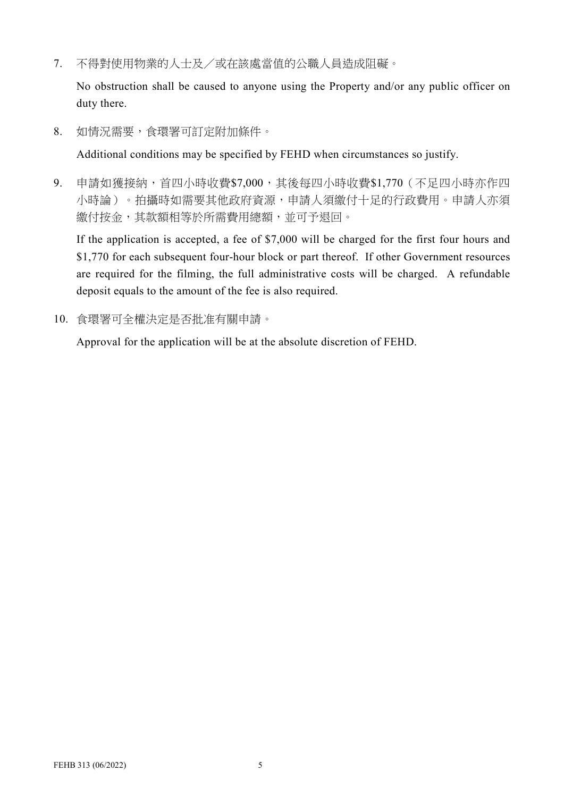7. 不得對使用物業的人士及/或在該處當值的公職人員造成阻礙。

No obstruction shall be caused to anyone using the Property and/or any public officer on duty there.

8. 如情況需要,食環署可訂定附加條件。

Additional conditions may be specified by FEHD when circumstances so justify.

9. 申請如獲接納,首四小時收費\$7,000,其後每四小時收費\$1,770(不足四小時亦作四 小時論)。拍攝時如需要其他政府資源,申請人須繳付十足的行政費用。申請人亦須 繳付按金,其款額相等於所需費用總額,並可予退回。

If the application is accepted, a fee of \$7,000 will be charged for the first four hours and \$1,770 for each subsequent four-hour block or part thereof. If other Government resources are required for the filming, the full administrative costs will be charged. A refundable deposit equals to the amount of the fee is also required.

10. 食環署可全權決定是否批准有關申請。

Approval for the application will be at the absolute discretion of FEHD.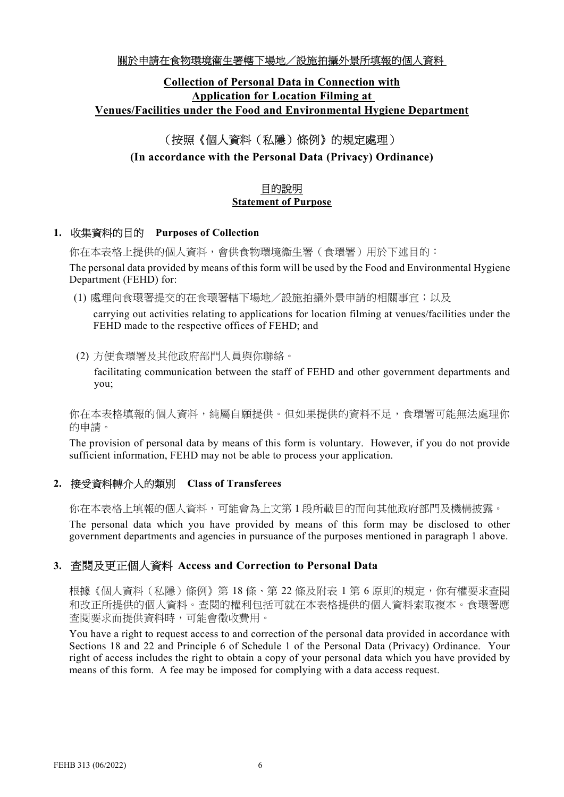### 關於申請在食物環境衞生署轄下場地/設施拍攝外景所填報的個人資料

## Collection of Personal Data in Connection with Application for Location Filming at Venues/Facilities under the Food and Environmental Hygiene Department

## (按照《個人資料(私隱)條例》的規定處理)

## (In accordance with the Personal Data (Privacy) Ordinance)

## 目的說明 Statement of Purpose

#### 1. 收集資料的目的 Purposes of Collection

你在本表格上提供的個人資料,會供食物環境衞生署(食環署)用於下述目的: The personal data provided by means of this form will be used by the Food and Environmental Hygiene Department (FEHD) for:

(1) 處理向食環署提交的在食環署轄下場地/設施拍攝外景申請的相關事宜;以及

carrying out activities relating to applications for location filming at venues/facilities under the FEHD made to the respective offices of FEHD; and

(2) 方便食環署及其他政府部門人員與你聯絡。

facilitating communication between the staff of FEHD and other government departments and you;

你在本表格填報的個人資料,純屬自願提供。但如果提供的資料不足,食環署可能無法處理你 的申請。

The provision of personal data by means of this form is voluntary. However, if you do not provide sufficient information, FEHD may not be able to process your application.

#### 2. 接受資料轉介人的類別 Class of Transferees

你在本表格上填報的個人資料,可能會為上文第1段所載目的而向其他政府部門及機構披露。

The personal data which you have provided by means of this form may be disclosed to other government departments and agencies in pursuance of the purposes mentioned in paragraph 1 above.

#### 3. 查閱及更正個人資料 Access and Correction to Personal Data

根據《個人資料(私隱)條例》第18條、第22條及附表1第6原則的規定,你有權要求查閱 和改正所提供的個人資料。查閱的權利包括可就在本表格提供的個人資料索取複本。食環署應 查閱要求而提供資料時,可能會徵收費用。

You have a right to request access to and correction of the personal data provided in accordance with Sections 18 and 22 and Principle 6 of Schedule 1 of the Personal Data (Privacy) Ordinance. Your right of access includes the right to obtain a copy of your personal data which you have provided by means of this form. A fee may be imposed for complying with a data access request.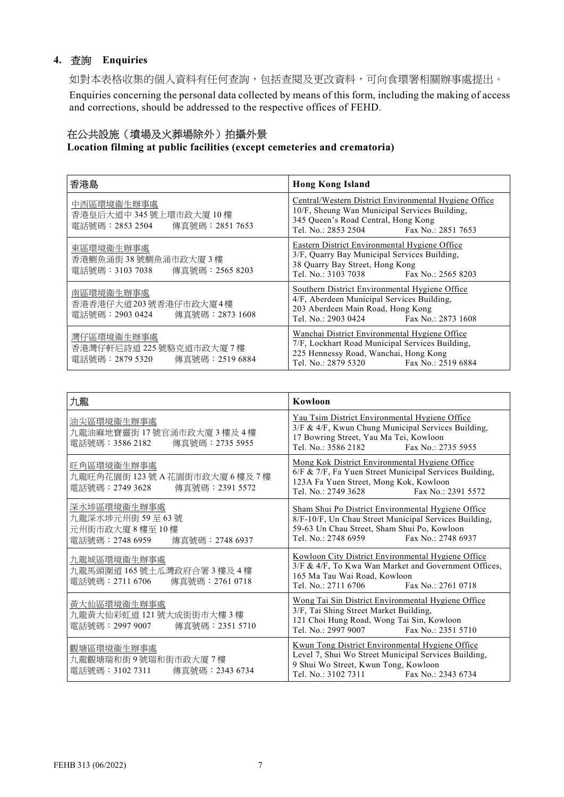#### 4. 查詢 Enquiries

如對本表格收集的個人資料有任何查詢,包括查閱及更改資料,可向食環署相關辦事處提出。

Enquiries concerning the personal data collected by means of this form, including the making of access and corrections, should be addressed to the respective offices of FEHD.

#### 在公共設施(墳場及火葬場除外)拍攝外景

Location filming at public facilities (except cemeteries and crematoria)

| 香港島                                                              | <b>Hong Kong Island</b>                                                                                                                                                    |
|------------------------------------------------------------------|----------------------------------------------------------------------------------------------------------------------------------------------------------------------------|
| 中西區環境衞生辦事處                                                       | Central/Western District Environmental Hygiene Office                                                                                                                      |
| 香港皇后大道中345號上環市政大廈10樓                                             | 10/F, Sheung Wan Municipal Services Building,                                                                                                                              |
| 電話號碼: 2853 2504                                                  | 345 Queen's Road Central, Hong Kong                                                                                                                                        |
| 傳真號碼:2851 7653                                                   | Tel. No.: 2853 2504 Fax No.: 2851 7653                                                                                                                                     |
| 東區環境衞生辦事處<br>香港鰂魚涌街38號鰂魚涌市政大廈3樓<br>電話號碼:3103 7038 傳真號碼:2565 8203 | Eastern District Environmental Hygiene Office<br>3/F, Quarry Bay Municipal Services Building,<br>38 Quarry Bay Street, Hong Kong<br>Tel. No.: 3103 7038 Fax No.: 2565 8203 |
| 南區環境衞生辦事處                                                        | Southern District Environmental Hygiene Office                                                                                                                             |
| 香港香港仔大道203號香港仔市政大廈4樓                                             | 4/F, Aberdeen Municipal Services Building,                                                                                                                                 |
| 電話號碼: 2903 0424                                                  | 203 Aberdeen Main Road, Hong Kong                                                                                                                                          |
| 傳真號碼:2873 1608                                                   | Tel. No.: 2903 0424 Fax No.: 2873 1608                                                                                                                                     |
| 灣仔區環境衞生辦事處                                                       | Wanchai District Environmental Hygiene Office                                                                                                                              |
| 香港灣仔軒尼詩道 225號駱克道市政大廈7樓                                           | 7/F, Lockhart Road Municipal Services Building,                                                                                                                            |
| 電話號碼:2879 5320                                                   | 225 Hennessy Road, Wanchai, Hong Kong                                                                                                                                      |
| 傳真號碼:2519 6884                                                   | Tel. No.: 2879 5320 Fax No.: 2519 6884                                                                                                                                     |

| 九龍                                                                                 | Kowloon                                                                                                                                                                                         |
|------------------------------------------------------------------------------------|-------------------------------------------------------------------------------------------------------------------------------------------------------------------------------------------------|
| 油尖區環境衞生辦事處<br>九龍油麻地寶靈街17號官涌市政大廈3樓及4樓<br>電話號碼: 3586 2182 傳真號碼: 2735 5955            | Yau Tsim District Environmental Hygiene Office<br>3/F & 4/F, Kwun Chung Municipal Services Building,<br>17 Bowring Street, Yau Ma Tei, Kowloon<br>Tel. No.: 3586 2182 Fax No.: 2735 5955        |
| 旺角區環境衞生辦事處<br>九龍旺角花園街 123號 A 花園街市政大廈 6 樓及 7 樓<br>電話號碼:2749 3628<br>傳真號碼: 2391 5572 | Mong Kok District Environmental Hygiene Office<br>6/F & 7/F, Fa Yuen Street Municipal Services Building,<br>123A Fa Yuen Street, Mong Kok, Kowloon<br>Tel. No.: 2749 3628<br>Fax No.: 2391 5572 |
| 深水埗區環境衞生辦事處                                                                        | Sham Shui Po District Environmental Hygiene Office                                                                                                                                              |
| 九龍深水埗元州街 59至63號                                                                    | 8/F-10/F, Un Chau Street Municipal Services Building,                                                                                                                                           |
| 元州街市政大廈8樓至10樓                                                                      | 59-63 Un Chau Street, Sham Shui Po, Kowloon                                                                                                                                                     |
| 電話號碼: 2748 6959 傳真號碼: 2748 6937                                                    | Tel. No.: 2748 6959 Fax No.: 2748 6937                                                                                                                                                          |
| 九龍城區環境衞生辦事處                                                                        | Kowloon City District Environmental Hygiene Office                                                                                                                                              |
| 九龍馬頭圍道165號土瓜灣政府合署3樓及4樓                                                             | 3/F & 4/F, To Kwa Wan Market and Government Offices,                                                                                                                                            |
| 電話號碼:2711 6706                                                                     | 165 Ma Tau Wai Road, Kowloon                                                                                                                                                                    |
| 傳真號碼: 2761 0718                                                                    | Tel. No.: 2711 6706 Fax No.: 2761 0718                                                                                                                                                          |
| 黃大仙區環境衞生辦事處                                                                        | Wong Tai Sin District Environmental Hygiene Office                                                                                                                                              |
| 九龍黃大仙彩虹道 121號大成街街市大樓3樓                                                             | 3/F, Tai Shing Street Market Building,                                                                                                                                                          |
| 電話號碼:2997 9007                                                                     | 121 Choi Hung Road, Wong Tai Sin, Kowloon                                                                                                                                                       |
| 傳真號碼:2351 5710                                                                     | Tel. No.: 2997 9007 Fax No.: 2351 5710                                                                                                                                                          |
| 觀塘區環境衞生辦事處                                                                         | Kwun Tong District Environmental Hygiene Office                                                                                                                                                 |
| 九龍觀塘瑞和街9號瑞和街市政大廈7樓                                                                 | Level 7, Shui Wo Street Municipal Services Building,                                                                                                                                            |
| 雷話號碼:3102 7311                                                                     | 9 Shui Wo Street, Kwun Tong, Kowloon                                                                                                                                                            |
| 傳真號碼:2343 6734                                                                     | Tel. No.: 3102 7311 Fax No.: 2343 6734                                                                                                                                                          |